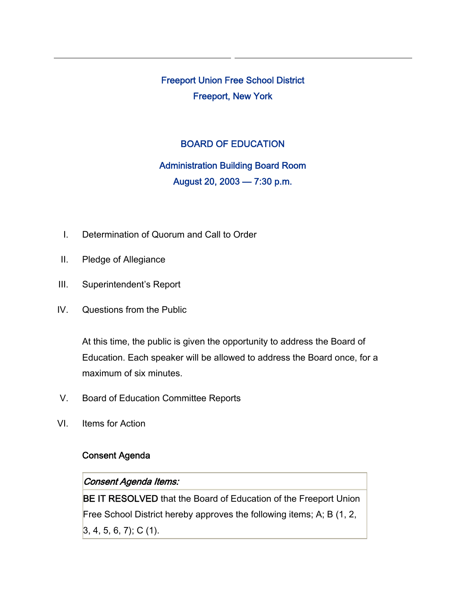Freeport Union Free School District Freeport, New York

### BOARD OF EDUCATION

# Administration Building Board Room August 20, 2003 — 7:30 p.m.

- I. Determination of Quorum and Call to Order
- II. Pledge of Allegiance
- III. Superintendent's Report
- IV. Questions from the Public

At this time, the public is given the opportunity to address the Board of Education. Each speaker will be allowed to address the Board once, for a maximum of six minutes.

- V. Board of Education Committee Reports
- VI. Items for Action

## Consent Agenda

#### Consent Agenda Items:

BE IT RESOLVED that the Board of Education of the Freeport Union Free School District hereby approves the following items; A; B (1, 2,  $3, 4, 5, 6, 7$ ; C (1).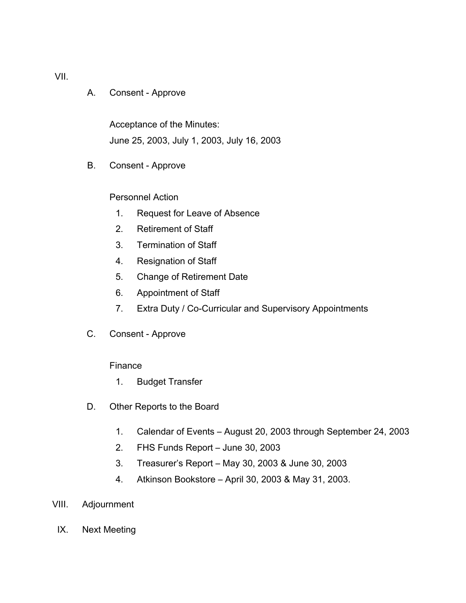A. Consent - Approve

Acceptance of the Minutes: June 25, 2003, July 1, 2003, July 16, 2003

B. Consent - Approve

#### Personnel Action

- 1. Request for Leave of Absence
- 2. Retirement of Staff
- 3. Termination of Staff
- 4. Resignation of Staff
- 5. Change of Retirement Date
- 6. Appointment of Staff
- 7. Extra Duty / Co-Curricular and Supervisory Appointments
- C. Consent Approve

#### Finance

- 1. Budget Transfer
- D. Other Reports to the Board
	- 1. Calendar of Events August 20, 2003 through September 24, 2003
	- 2. FHS Funds Report June 30, 2003
	- 3. Treasurer's Report May 30, 2003 & June 30, 2003
	- 4. Atkinson Bookstore April 30, 2003 & May 31, 2003.
- VIII. Adjournment
	- IX. Next Meeting

VII.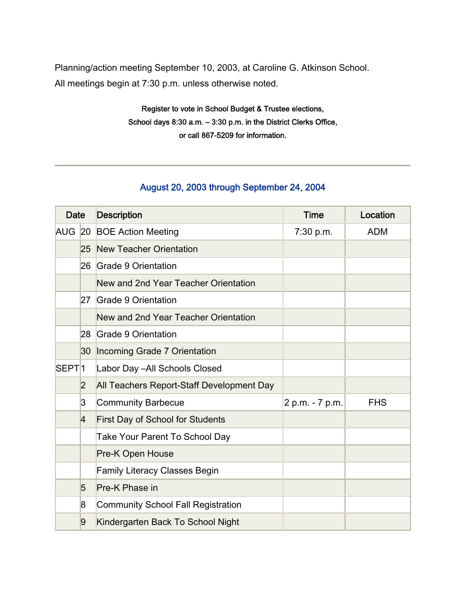Planning/action meeting September 10, 2003, at Caroline G. Atkinson School. All meetings begin at 7:30 p.m. unless otherwise noted.

> Register to vote in School Budget & Trustee elections, School days 8:30 a.m. – 3:30 p.m. in the District Clerks Office, or call 867-5209 for information.

## August 20, 2003 through September 24, 2004

| <b>Date</b>       |                         | <b>Description</b>                        | <b>Time</b>     | Location   |
|-------------------|-------------------------|-------------------------------------------|-----------------|------------|
|                   |                         | AUG 20 BOE Action Meeting                 | 7:30 p.m.       | <b>ADM</b> |
|                   |                         | 25 New Teacher Orientation                |                 |            |
|                   | 26                      | Grade 9 Orientation                       |                 |            |
|                   |                         | New and 2nd Year Teacher Orientation      |                 |            |
|                   | 27                      | Grade 9 Orientation                       |                 |            |
|                   |                         | New and 2nd Year Teacher Orientation      |                 |            |
|                   | 28                      | Grade 9 Orientation                       |                 |            |
|                   | 30                      | Incoming Grade 7 Orientation              |                 |            |
| SEPT <sup>1</sup> |                         | Labor Day - All Schools Closed            |                 |            |
|                   | $\overline{2}$          | All Teachers Report-Staff Development Day |                 |            |
|                   | $\overline{3}$          | <b>Community Barbecue</b>                 | 2 p.m. - 7 p.m. | <b>FHS</b> |
|                   | $\overline{A}$          | <b>First Day of School for Students</b>   |                 |            |
|                   |                         | <b>Take Your Parent To School Day</b>     |                 |            |
|                   |                         | Pre-K Open House                          |                 |            |
|                   |                         | <b>Family Literacy Classes Begin</b>      |                 |            |
|                   | 5                       | Pre-K Phase in                            |                 |            |
|                   | $\overline{\mathsf{8}}$ | <b>Community School Fall Registration</b> |                 |            |
|                   | 9                       | Kindergarten Back To School Night         |                 |            |